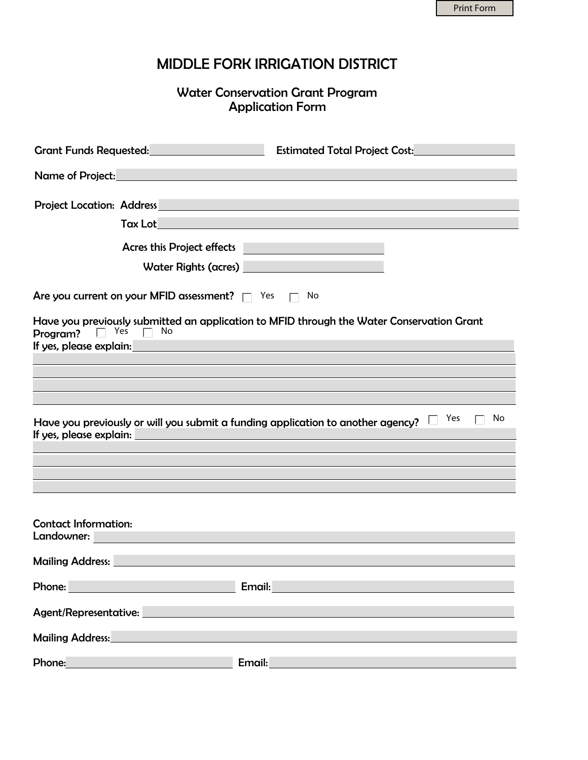## MIDDLE FORK IRRIGATION DISTRICT

Water Conservation Grant Program Application Form

| Grant Funds Requested:<br>The Contract of Security Art and Security Art and Security Art and Security Art and Security Art and Security | <b>Estimated Total Project Cost:</b>                                                                                                                                                                                                 |
|-----------------------------------------------------------------------------------------------------------------------------------------|--------------------------------------------------------------------------------------------------------------------------------------------------------------------------------------------------------------------------------------|
| Name of Project: Name of Project:                                                                                                       |                                                                                                                                                                                                                                      |
|                                                                                                                                         | <b>Project Location: Address Contract Contract Contract Contract Contract Contract Contract Contract Contract Contract Contract Contract Contract Contract Contract Contract Contract Contract Contract Contract Contract Contra</b> |
| Tax Lot                                                                                                                                 | <u> 1989 - Johann Stein, marwolaethau (b. 1989)</u>                                                                                                                                                                                  |
|                                                                                                                                         |                                                                                                                                                                                                                                      |
| <b>Acres this Project effects</b>                                                                                                       | <u> 1970 - Johann Barnett, fransk politik (</u>                                                                                                                                                                                      |
| Water Rights (acres)                                                                                                                    | <u> 1990 - Johann Barnett, mars et al. 1990 - Johann Barnett, fransk kommunist for de f</u>                                                                                                                                          |
| Are you current on your MFID assessment? $\Box$ Yes $\Box$                                                                              | No                                                                                                                                                                                                                                   |
| $\Box$ Yes<br>No.<br>Program?                                                                                                           | Have you previously submitted an application to MFID through the Water Conservation Grant                                                                                                                                            |
|                                                                                                                                         | If yes, please explain:<br>If yes, please explain:                                                                                                                                                                                   |
|                                                                                                                                         |                                                                                                                                                                                                                                      |
|                                                                                                                                         |                                                                                                                                                                                                                                      |
|                                                                                                                                         |                                                                                                                                                                                                                                      |
|                                                                                                                                         | Yes<br>No<br>Have you previously or will you submit a funding application to another agency?                                                                                                                                         |
| If yes, please explain: Notified the state of the state of the state of the state of the state of the state of                          |                                                                                                                                                                                                                                      |
|                                                                                                                                         |                                                                                                                                                                                                                                      |
|                                                                                                                                         |                                                                                                                                                                                                                                      |
|                                                                                                                                         |                                                                                                                                                                                                                                      |
| <b>Contact Information:</b>                                                                                                             |                                                                                                                                                                                                                                      |
| <b>Landowner: Example 2008</b>                                                                                                          |                                                                                                                                                                                                                                      |
|                                                                                                                                         | <b>Mailing Address:</b> And the Communication of the Communication of the Communication of the Communication of the Co                                                                                                               |
| Phone: William Communication of the Communication                                                                                       | Email:                                                                                                                                                                                                                               |
| Agent/Representative: ________                                                                                                          |                                                                                                                                                                                                                                      |
| Mailing Address: Mail Address: All Annual Address: All Annual Address: All Annual Address: All Annual Address                           |                                                                                                                                                                                                                                      |
|                                                                                                                                         |                                                                                                                                                                                                                                      |
| Phone: National Phone:                                                                                                                  | Email:_________                                                                                                                                                                                                                      |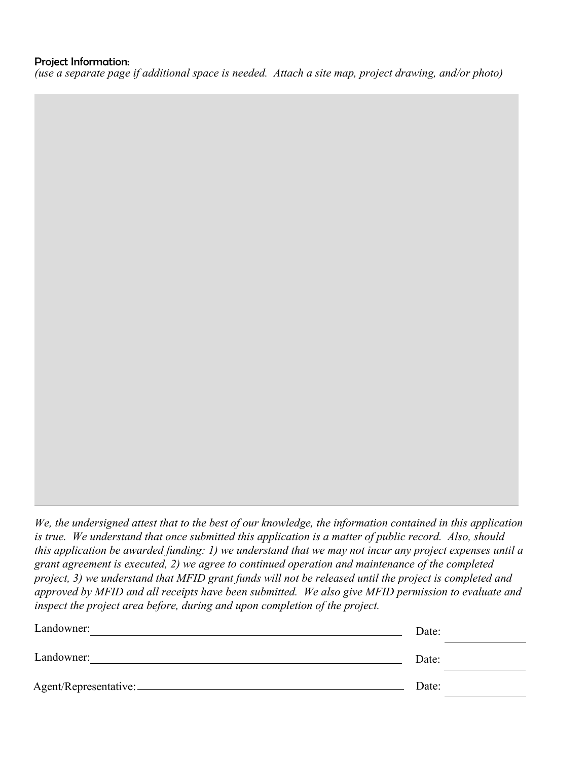*(use a separate page if additional space is needed. Attach a site map, project drawing, and/or photo)*

*We, the undersigned attest that to the best of our knowledge, the information contained in this application is true. We understand that once submitted this application is a matter of public record. Also, should this application be awarded funding: 1) we understand that we may not incur any project expenses until a grant agreement is executed, 2) we agree to continued operation and maintenance of the completed project, 3) we understand that MFID grant funds will not be released until the project is completed and approved by MFID and all receipts have been submitted. We also give MFID permission to evaluate and inspect the project area before, during and upon completion of the project.*

| Landowner:            | Date: |  |
|-----------------------|-------|--|
| Landowner:            | Date: |  |
| Agent/Representative: | Date: |  |